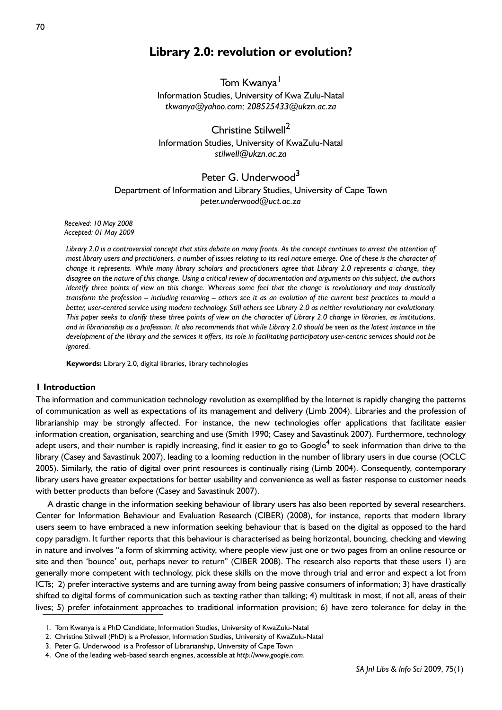# **Library 2.0: revolution or evolution?**

Tom Kwanya<sup>1</sup> Information Studies, University of Kwa Zulu-Natal *tkwanya@yahoo.com; 208525433@ukzn.ac.za*

Christine Stilwell<sup>2</sup> Information Studies, University of KwaZulu-Natal *stilwell@ukzn.ac.za*

## Peter G. Underwood<sup>3</sup>

Department of Information and Library Studies, University of Cape Town *peter.underwood@uct.ac.za*

*Received: 10 May 2008 Accepted: 01 May 2009*

*Library 2.0 is a controversial concept that stirs debate on many fronts. As the concept continues to arrest the attention of most library users and practitioners, a number of issues relating to its real nature emerge. One of these is the character of change it represents. While many library scholars and practitioners agree that Library 2.0 represents a change, they disagree on the nature of this change. Using a critical review of documentation and arguments on this subject, the authors identify three points of view on this change. Whereas some feel that the change is revolutionary and may drastically transform the profession – including renaming – others see it as an evolution of the current best practices to mould a better, user-centred service using modern technology. Still others see Library 2.0 as neither revolutionary nor evolutionary. This paper seeks to clarify these three points of view on the character of Library 2.0 change in libraries, as institutions, and in librarianship as a profession. It also recommends that while Library 2.0 should be seen as the latest instance in the development of the library and the services it offers, its role in facilitating participatory user-centric services should not be ignored.*

**Keywords:** Library 2.0, digital libraries, library technologies

## **1 Introduction**

The information and communication technology revolution as exemplified by the Internet is rapidly changing the patterns of communication as well as expectations of its management and delivery (Limb 2004). Libraries and the profession of librarianship may be strongly affected. For instance, the new technologies offer applications that facilitate easier information creation, organisation, searching and use (Smith 1990; Casey and Savastinuk 2007). Furthermore, technology adept users, and their number is rapidly increasing, find it easier to go to Google<sup>4</sup> to seek information than drive to the library (Casey and Savastinuk 2007), leading to a looming reduction in the number of library users in due course (OCLC 2005). Similarly, the ratio of digital over print resources is continually rising (Limb 2004). Consequently, contemporary library users have greater expectations for better usability and convenience as well as faster response to customer needs with better products than before (Casey and Savastinuk 2007).

A drastic change in the information seeking behaviour of library users has also been reported by several researchers. Center for Information Behaviour and Evaluation Research (CIBER) (2008), for instance, reports that modern library users seem to have embraced a new information seeking behaviour that is based on the digital as opposed to the hard copy paradigm. It further reports that this behaviour is characterised as being horizontal, bouncing, checking and viewing in nature and involves "a form of skimming activity, where people view just one or two pages from an online resource or site and then 'bounce' out, perhaps never to return" (CIBER 2008). The research also reports that these users 1) are generally more competent with technology, pick these skills on the move through trial and error and expect a lot from ICTs; 2) prefer interactive systems and are turning away from being passive consumers of information; 3) have drastically shifted to digital forms of communication such as texting rather than talking; 4) multitask in most, if not all, areas of their lives; 5) prefer infotainment approaches to traditional information provision; 6) have zero tolerance for delay in the

<sup>1.</sup> Tom Kwanya is a PhD Candidate, Information Studies, University of KwaZulu-Natal

<sup>2.</sup> Christine Stilwell (PhD) is a Professor, Information Studies, University of KwaZulu-Natal

<sup>3.</sup> Peter G. Underwood is a Professor of Librarianship, University of Cape Town

<sup>4.</sup> One of the leading web-based search engines, accessible at *http://www.google.com*.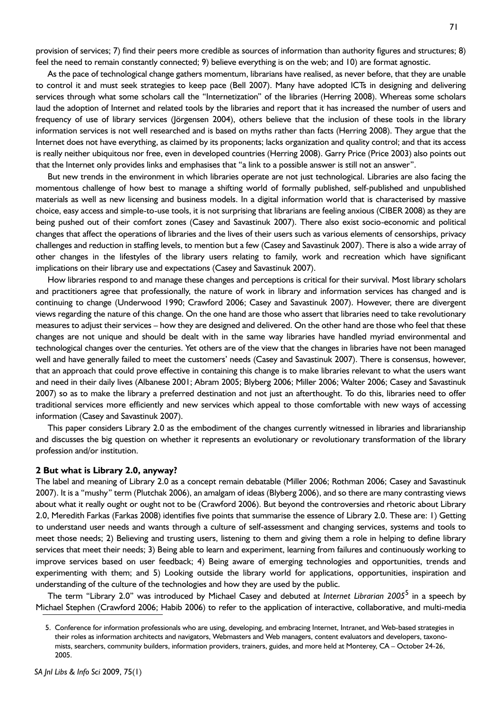provision of services; 7) find their peers more credible as sources of information than authority figures and structures; 8) feel the need to remain constantly connected; 9) believe everything is on the web; and 10) are format agnostic.

As the pace of technological change gathers momentum, librarians have realised, as never before, that they are unable to control it and must seek strategies to keep pace (Bell 2007). Many have adopted ICTs in designing and delivering services through what some scholars call the "Internetization" of the libraries (Herring 2008). Whereas some scholars laud the adoption of Internet and related tools by the libraries and report that it has increased the number of users and frequency of use of library services (Jörgensen 2004), others believe that the inclusion of these tools in the library information services is not well researched and is based on myths rather than facts (Herring 2008). They argue that the Internet does not have everything, as claimed by its proponents; lacks organization and quality control; and that its access is really neither ubiquitous nor free, even in developed countries (Herring 2008). Garry Price (Price 2003) also points out that the Internet only provides links and emphasises that "a link to a possible answer is still not an answer".

But new trends in the environment in which libraries operate are not just technological. Libraries are also facing the momentous challenge of how best to manage a shifting world of formally published, self-published and unpublished materials as well as new licensing and business models. In a digital information world that is characterised by massive choice, easy access and simple-to-use tools, it is not surprising that librarians are feeling anxious (CIBER 2008) as they are being pushed out of their comfort zones (Casey and Savastinuk 2007). There also exist socio-economic and political changes that affect the operations of libraries and the lives of their users such as various elements of censorships, privacy challenges and reduction in staffing levels, to mention but a few (Casey and Savastinuk 2007). There is also a wide array of other changes in the lifestyles of the library users relating to family, work and recreation which have significant implications on their library use and expectations (Casey and Savastinuk 2007).

How libraries respond to and manage these changes and perceptions is critical for their survival. Most library scholars and practitioners agree that professionally, the nature of work in library and information services has changed and is continuing to change (Underwood 1990; Crawford 2006; Casey and Savastinuk 2007). However, there are divergent views regarding the nature of this change. On the one hand are those who assert that libraries need to take revolutionary measures to adjust their services – how they are designed and delivered. On the other hand are those who feel that these changes are not unique and should be dealt with in the same way libraries have handled myriad environmental and technological changes over the centuries. Yet others are of the view that the changes in libraries have not been managed well and have generally failed to meet the customers' needs (Casey and Savastinuk 2007). There is consensus, however, that an approach that could prove effective in containing this change is to make libraries relevant to what the users want and need in their daily lives (Albanese 2001; Abram 2005; Blyberg 2006; Miller 2006; Walter 2006; Casey and Savastinuk 2007) so as to make the library a preferred destination and not just an afterthought. To do this, libraries need to offer traditional services more efficiently and new services which appeal to those comfortable with new ways of accessing information (Casey and Savastinuk 2007).

This paper considers Library 2.0 as the embodiment of the changes currently witnessed in libraries and librarianship and discusses the big question on whether it represents an evolutionary or revolutionary transformation of the library profession and/or institution.

#### **2 But what is Library 2.0, anyway?**

The label and meaning of Library 2.0 as a concept remain debatable (Miller 2006; Rothman 2006; Casey and Savastinuk 2007). It is a "mushy" term (Plutchak 2006), an amalgam of ideas (Blyberg 2006), and so there are many contrasting views about what it really ought or ought not to be (Crawford 2006). But beyond the controversies and rhetoric about Library 2.0, Meredith Farkas (Farkas 2008) identifies five points that summarise the essence of Library 2.0. These are: 1) Getting to understand user needs and wants through a culture of self-assessment and changing services, systems and tools to meet those needs; 2) Believing and trusting users, listening to them and giving them a role in helping to define library services that meet their needs; 3) Being able to learn and experiment, learning from failures and continuously working to improve services based on user feedback; 4) Being aware of emerging technologies and opportunities, trends and experimenting with them; and 5) Looking outside the library world for applications, opportunities, inspiration and understanding of the culture of the technologies and how they are used by the public.

The term "Library 2.0" was introduced by Michael Casey and debuted at *Internet Librarian 2005*<sup>5</sup> in a speech by Michael Stephen (Crawford 2006; Habib 2006) to refer to the application of interactive, collaborative, and multi-media

<sup>5.</sup> Conference for information professionals who are using, developing, and embracing Internet, Intranet, and Web-based strategies in their roles as information architects and navigators, Webmasters and Web managers, content evaluators and developers, taxonomists, searchers, community builders, information providers, trainers, guides, and more held at Monterey, CA – October 24-26, 2005.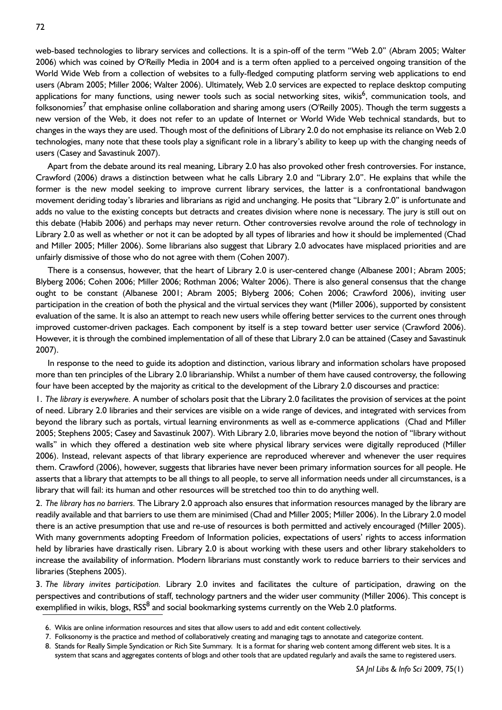web-based technologies to library services and collections. It is a spin-off of the term "Web 2.0" (Abram 2005; Walter 2006) which was coined by O'Reilly Media in 2004 and is a term often applied to a perceived ongoing transition of the World Wide Web from a collection of websites to a fully-fledged computing platform serving web applications to end users (Abram 2005; Miller 2006; Walter 2006). Ultimately, Web 2.0 services are expected to replace desktop computing applications for many functions, using newer tools such as social networking sites, wikis<sup>6</sup>, communication tools, and folksonomies<sup>7</sup> that emphasise online collaboration and sharing among users (O'Reilly 2005). Though the term suggests a new version of the Web, it does not refer to an update of Internet or World Wide Web technical standards, but to changes in the ways they are used. Though most of the definitions of Library 2.0 do not emphasise its reliance on Web 2.0 technologies, many note that these tools play a significant role in a library's ability to keep up with the changing needs of users (Casey and Savastinuk 2007).

Apart from the debate around its real meaning, Library 2.0 has also provoked other fresh controversies. For instance, Crawford (2006) draws a distinction between what he calls Library 2.0 and "Library 2.0". He explains that while the former is the new model seeking to improve current library services, the latter is a confrontational bandwagon movement deriding today's libraries and librarians as rigid and unchanging. He posits that "Library 2.0" is unfortunate and adds no value to the existing concepts but detracts and creates division where none is necessary. The jury is still out on this debate (Habib 2006) and perhaps may never return. Other controversies revolve around the role of technology in Library 2.0 as well as whether or not it can be adopted by all types of libraries and how it should be implemented (Chad and Miller 2005; Miller 2006). Some librarians also suggest that Library 2.0 advocates have misplaced priorities and are unfairly dismissive of those who do not agree with them (Cohen 2007).

There is a consensus, however, that the heart of Library 2.0 is user-centered change (Albanese 2001; Abram 2005; Blyberg 2006; Cohen 2006; Miller 2006; Rothman 2006; Walter 2006). There is also general consensus that the change ought to be constant (Albanese 2001; Abram 2005; Blyberg 2006; Cohen 2006; Crawford 2006), inviting user participation in the creation of both the physical and the virtual services they want (Miller 2006), supported by consistent evaluation of the same. It is also an attempt to reach new users while offering better services to the current ones through improved customer-driven packages. Each component by itself is a step toward better user service (Crawford 2006). However, it is through the combined implementation of all of these that Library 2.0 can be attained (Casey and Savastinuk 2007).

In response to the need to guide its adoption and distinction, various library and information scholars have proposed more than ten principles of the Library 2.0 librarianship. Whilst a number of them have caused controversy, the following four have been accepted by the majority as critical to the development of the Library 2.0 discourses and practice:

1. *The library is everywhere.* A number of scholars posit that the Library 2.0 facilitates the provision of services at the point of need. Library 2.0 libraries and their services are visible on a wide range of devices, and integrated with services from beyond the library such as portals, virtual learning environments as well as e-commerce applications (Chad and Miller 2005; Stephens 2005; Casey and Savastinuk 2007). With Library 2.0, libraries move beyond the notion of "library without walls" in which they offered a destination web site where physical library services were digitally reproduced (Miller 2006). Instead, relevant aspects of that library experience are reproduced wherever and whenever the user requires them. Crawford (2006), however, suggests that libraries have never been primary information sources for all people. He asserts that a library that attempts to be all things to all people, to serve all information needs under all circumstances, is a library that will fail: its human and other resources will be stretched too thin to do anything well.

2. *The library has no barriers.* The Library 2.0 approach also ensures that information resources managed by the library are readily available and that barriers to use them are minimised (Chad and Miller 2005; Miller 2006). In the Library 2.0 model there is an active presumption that use and re-use of resources is both permitted and actively encouraged (Miller 2005). With many governments adopting Freedom of Information policies, expectations of users' rights to access information held by libraries have drastically risen. Library 2.0 is about working with these users and other library stakeholders to increase the availability of information. Modern librarians must constantly work to reduce barriers to their services and libraries (Stephens 2005).

3. *The library invites participation.* Library 2.0 invites and facilitates the culture of participation, drawing on the perspectives and contributions of staff, technology partners and the wider user community (Miller 2006). This concept is exemplified in wikis, blogs, RSS<sup>8</sup> and social bookmarking systems currently on the Web 2.0 platforms.

<sup>6.</sup> Wikis are online information resources and sites that allow users to add and edit content collectively.

<sup>7.</sup> Folksonomy is the practice and method of collaboratively creating and managing tags to annotate and categorize content.

<sup>8.</sup> Stands for Really Simple Syndication or Rich Site Summary. It is a format for sharing web content among different web sites. It is a system that scans and aggregates contents of blogs and other tools that are updated regularly and avails the same to registered users.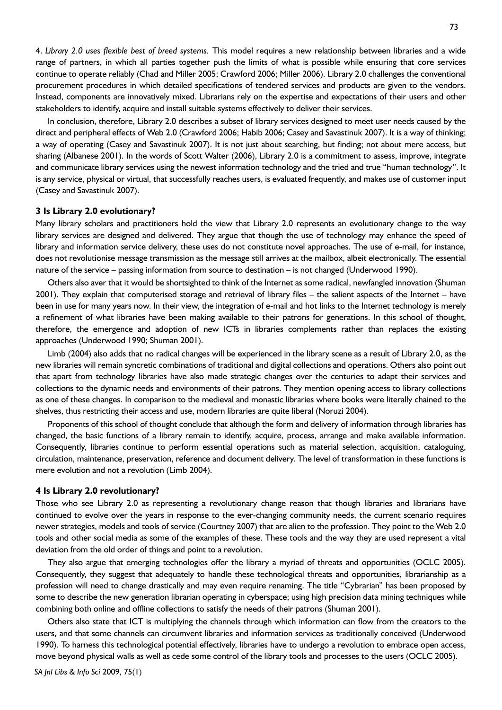73

range of partners, in which all parties together push the limits of what is possible while ensuring that core services continue to operate reliably (Chad and Miller 2005; Crawford 2006; Miller 2006). Library 2.0 challenges the conventional procurement procedures in which detailed specifications of tendered services and products are given to the vendors. Instead, components are innovatively mixed. Librarians rely on the expertise and expectations of their users and other stakeholders to identify, acquire and install suitable systems effectively to deliver their services.

In conclusion, therefore, Library 2.0 describes a subset of library services designed to meet user needs caused by the direct and peripheral effects of Web 2.0 (Crawford 2006; Habib 2006; Casey and Savastinuk 2007). It is a way of thinking; a way of operating (Casey and Savastinuk 2007). It is not just about searching, but finding; not about mere access, but sharing (Albanese 2001). In the words of Scott Walter (2006), Library 2.0 is a commitment to assess, improve, integrate and communicate library services using the newest information technology and the tried and true "human technology". It is any service, physical or virtual, that successfully reaches users, is evaluated frequently, and makes use of customer input (Casey and Savastinuk 2007).

## **3 Is Library 2.0 evolutionary?**

Many library scholars and practitioners hold the view that Library 2.0 represents an evolutionary change to the way library services are designed and delivered. They argue that though the use of technology may enhance the speed of library and information service delivery, these uses do not constitute novel approaches. The use of e-mail, for instance, does not revolutionise message transmission as the message still arrives at the mailbox, albeit electronically. The essential nature of the service – passing information from source to destination – is not changed (Underwood 1990).

Others also aver that it would be shortsighted to think of the Internet as some radical, newfangled innovation (Shuman 2001). They explain that computerised storage and retrieval of library files – the salient aspects of the Internet – have been in use for many years now. In their view, the integration of e-mail and hot links to the Internet technology is merely a refinement of what libraries have been making available to their patrons for generations. In this school of thought, therefore, the emergence and adoption of new ICTs in libraries complements rather than replaces the existing approaches (Underwood 1990; Shuman 2001).

Limb (2004) also adds that no radical changes will be experienced in the library scene as a result of Library 2.0, as the new libraries will remain syncretic combinations of traditional and digital collections and operations. Others also point out that apart from technology libraries have also made strategic changes over the centuries to adapt their services and collections to the dynamic needs and environments of their patrons. They mention opening access to library collections as one of these changes. In comparison to the medieval and monastic libraries where books were literally chained to the shelves, thus restricting their access and use, modern libraries are quite liberal (Noruzi 2004).

Proponents of this school of thought conclude that although the form and delivery of information through libraries has changed, the basic functions of a library remain to identify, acquire, process, arrange and make available information. Consequently, libraries continue to perform essential operations such as material selection, acquisition, cataloguing, circulation, maintenance, preservation, reference and document delivery. The level of transformation in these functions is mere evolution and not a revolution (Limb 2004).

#### **4 Is Library 2.0 revolutionary?**

Those who see Library 2.0 as representing a revolutionary change reason that though libraries and librarians have continued to evolve over the years in response to the ever-changing community needs, the current scenario requires newer strategies, models and tools of service (Courtney 2007) that are alien to the profession. They point to the Web 2.0 tools and other social media as some of the examples of these. These tools and the way they are used represent a vital deviation from the old order of things and point to a revolution.

They also argue that emerging technologies offer the library a myriad of threats and opportunities (OCLC 2005). Consequently, they suggest that adequately to handle these technological threats and opportunities, librarianship as a profession will need to change drastically and may even require renaming. The title "Cybrarian" has been proposed by some to describe the new generation librarian operating in cyberspace; using high precision data mining techniques while combining both online and offline collections to satisfy the needs of their patrons (Shuman 2001).

Others also state that ICT is multiplying the channels through which information can flow from the creators to the users, and that some channels can circumvent libraries and information services as traditionally conceived (Underwood 1990). To harness this technological potential effectively, libraries have to undergo a revolution to embrace open access, move beyond physical walls as well as cede some control of the library tools and processes to the users (OCLC 2005).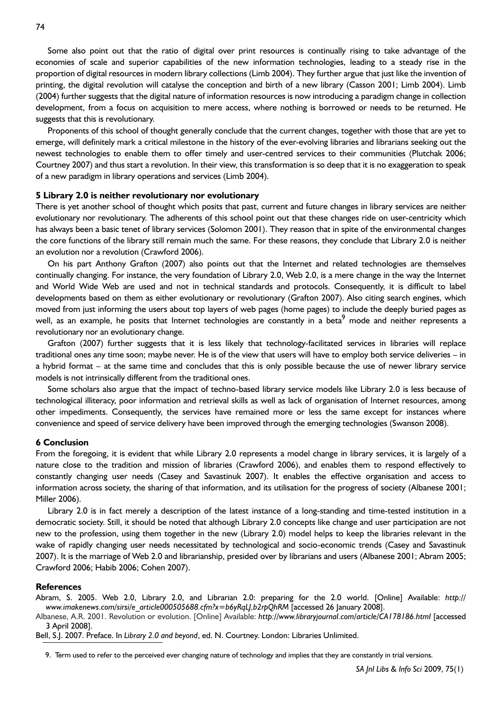Some also point out that the ratio of digital over print resources is continually rising to take advantage of the economies of scale and superior capabilities of the new information technologies, leading to a steady rise in the proportion of digital resources in modern library collections (Limb 2004). They further argue that just like the invention of printing, the digital revolution will catalyse the conception and birth of a new library (Casson 2001; Limb 2004). Limb (2004) further suggests that the digital nature of information resources is now introducing a paradigm change in collection development, from a focus on acquisition to mere access, where nothing is borrowed or needs to be returned. He suggests that this is revolutionary.

Proponents of this school of thought generally conclude that the current changes, together with those that are yet to emerge, will definitely mark a critical milestone in the history of the ever-evolving libraries and librarians seeking out the newest technologies to enable them to offer timely and user-centred services to their communities (Plutchak 2006; Courtney 2007) and thus start a revolution. In their view, this transformation is so deep that it is no exaggeration to speak of a new paradigm in library operations and services (Limb 2004).

### **5 Library 2.0 is neither revolutionary nor evolutionary**

There is yet another school of thought which posits that past, current and future changes in library services are neither evolutionary nor revolutionary. The adherents of this school point out that these changes ride on user-centricity which has always been a basic tenet of library services (Solomon 2001). They reason that in spite of the environmental changes the core functions of the library still remain much the same. For these reasons, they conclude that Library 2.0 is neither an evolution nor a revolution (Crawford 2006).

On his part Anthony Grafton (2007) also points out that the Internet and related technologies are themselves continually changing. For instance, the very foundation of Library 2.0, Web 2.0, is a mere change in the way the Internet and World Wide Web are used and not in technical standards and protocols. Consequently, it is difficult to label developments based on them as either evolutionary or revolutionary (Grafton 2007). Also citing search engines, which moved from just informing the users about top layers of web pages (home pages) to include the deeply buried pages as well, as an example, he posits that Internet technologies are constantly in a beta<sup>9</sup> mode and neither represents a revolutionary nor an evolutionary change.

Grafton (2007) further suggests that it is less likely that technology-facilitated services in libraries will replace traditional ones any time soon; maybe never. He is of the view that users will have to employ both service deliveries – in a hybrid format – at the same time and concludes that this is only possible because the use of newer library service models is not intrinsically different from the traditional ones.

Some scholars also argue that the impact of techno-based library service models like Library 2.0 is less because of technological illiteracy, poor information and retrieval skills as well as lack of organisation of Internet resources, among other impediments. Consequently, the services have remained more or less the same except for instances where convenience and speed of service delivery have been improved through the emerging technologies (Swanson 2008).

#### **6 Conclusion**

From the foregoing, it is evident that while Library 2.0 represents a model change in library services, it is largely of a nature close to the tradition and mission of libraries (Crawford 2006), and enables them to respond effectively to constantly changing user needs (Casey and Savastinuk 2007). It enables the effective organisation and access to information across society, the sharing of that information, and its utilisation for the progress of society (Albanese 2001; Miller 2006).

Library 2.0 is in fact merely a description of the latest instance of a long-standing and time-tested institution in a democratic society. Still, it should be noted that although Library 2.0 concepts like change and user participation are not new to the profession, using them together in the new (Library 2.0) model helps to keep the libraries relevant in the wake of rapidly changing user needs necessitated by technological and socio-economic trends (Casey and Savastinuk 2007). It is the marriage of Web 2.0 and librarianship, presided over by librarians and users (Albanese 2001; Abram 2005; Crawford 2006; Habib 2006; Cohen 2007).

## **References**

Abram, S. 2005. Web 2.0, Library 2.0, and Librarian 2.0: preparing for the 2.0 world. [Online] Available: *http:// www.imakenews.com/sirsi/e\_article000505688.cfm?x=b6yRqLJ,b2rpQhRM* [accessed 26 January 2008].

Albanese, A.R. 2001. Revolution or evolution. [Online] Available: *http://www.libraryjournal.com/article/CA178186.html* [accessed 3 April 2008].

Bell, S.J. 2007. Preface. In *Library 2.0 and beyond*, ed. N. Courtney. London: Libraries Unlimited.

<sup>9.</sup> Term used to refer to the perceived ever changing nature of technology and implies that they are constantly in trial versions.